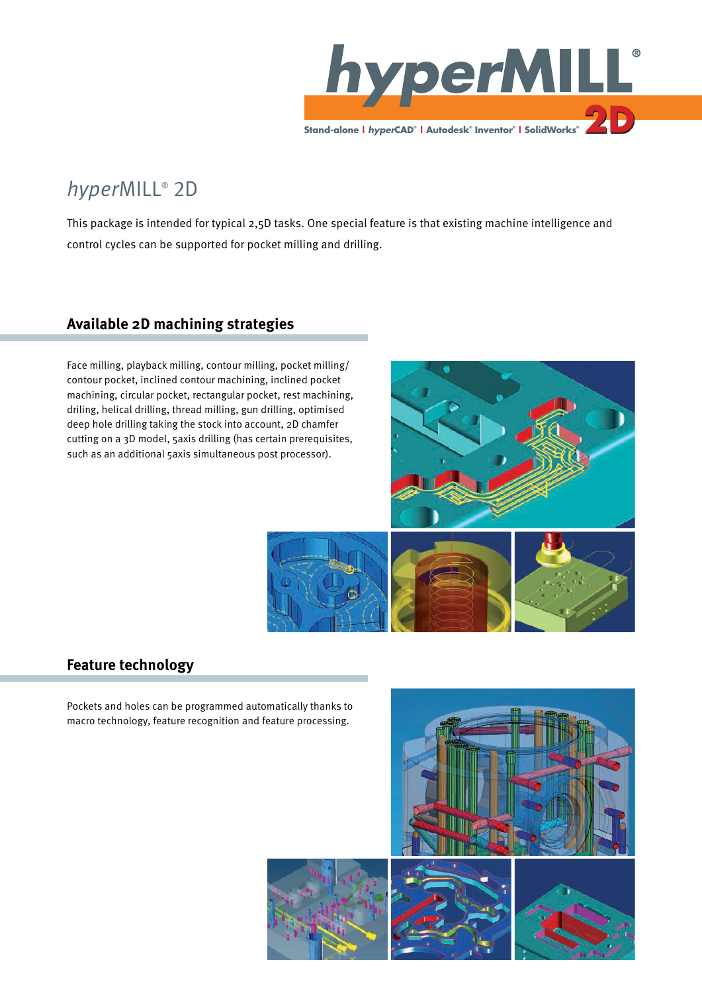

# *hyper*MILL® 2D

This package is intended for typical 2,5D tasks. One special feature is that existing machine intelligence and control cycles can be supported for pocket milling and drilling.

# **Available 2D machining strategies**

Face milling, playback milling, contour milling, pocket milling/ contour pocket, inclined contour machining, inclined pocket machining, circular pocket, rectangular pocket, rest machining, driling, helical drilling, thread milling, gun drilling, optimised deep hole drilling taking the stock into account, 2D chamfer cutting on a 3D model, 5axis drilling (has certain prerequisites, such as an additional 5axis simultaneous post processor).



## **Feature technology**

Pockets and holes can be programmed automatically thanks to macro technology, feature recognition and feature processing.

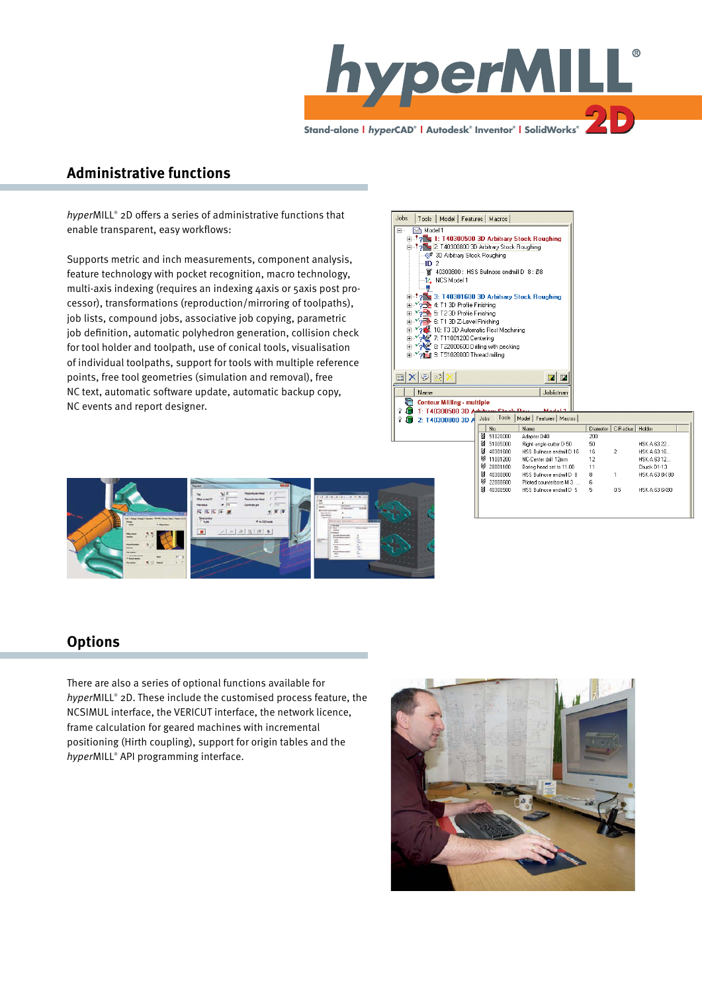

## **Administrative functions**

*hyper*MILL® 2D off ers a series of administrative functions that enable transparent, easy workflows:

Supports metric and inch measurements, component analysis, feature technology with pocket recognition, macro technology, multi-axis indexing (requires an indexing 4axis or 5axis post processor), transformations (reproduction/mirroring of toolpaths), job lists, compound jobs, associative job copying, parametric job definition, automatic polyhedron generation, collision check for tool holder and toolpath, use of conical tools, visualisation of individual toolpaths, support for tools with multiple reference points, free tool geometries (simulation and removal), free NC text, automatic software update, automatic backup copy, NC events and report designer.





### **Options**

There are also a series of optional functions available for *hyper*MILL® 2D. These include the customised process feature, the NCSIMUL interface, the VERICUT interface, the network licence, frame calculation for geared machines with incremental positioning (Hirth coupling), support for origin tables and the *hyper*MILL® API programming interface.